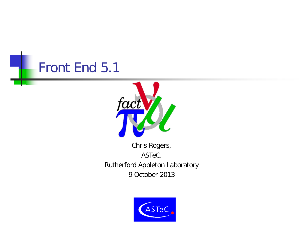



Chris Rogers, ASTeC, Rutherford Appleton Laboratory 9 October 2013

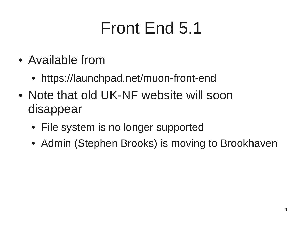# Front End 5.1

- Available from
	- https://launchpad.net/muon-front-end
- Note that old UK-NF website will soon disappear
	- File system is no longer supported
	- Admin (Stephen Brooks) is moving to Brookhaven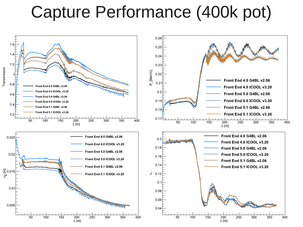### Capture Performance (400k pot)

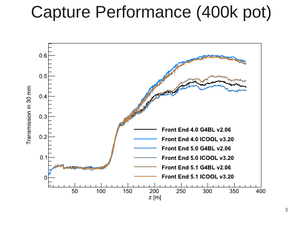#### Capture Performance (400k pot)

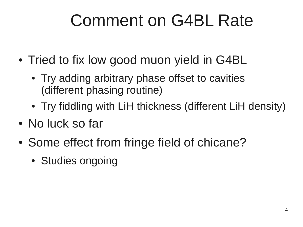# Comment on G4BL Rate

- Tried to fix low good muon yield in G4BL
	- Try adding arbitrary phase offset to cavities (different phasing routine)
	- Try fiddling with LiH thickness (different LiH density)
- No luck so far
- Some effect from fringe field of chicane?
	- Studies ongoing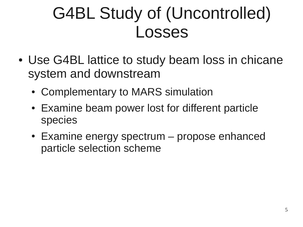# G4BL Study of (Uncontrolled) Losses

- Use G4BL lattice to study beam loss in chicane system and downstream
	- Complementary to MARS simulation
	- Examine beam power lost for different particle species
	- $\bullet$  Examine energy spectrum propose enhanced particle selection scheme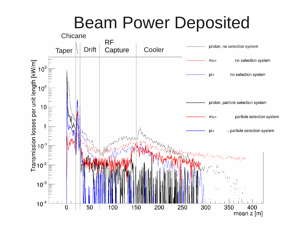#### Beam Power Deposited

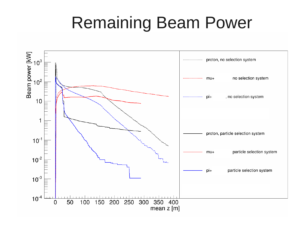#### Remaining Beam Power

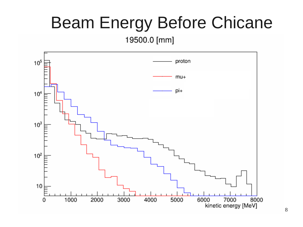# Beam Energy Before Chicane

19500.0 [mm]

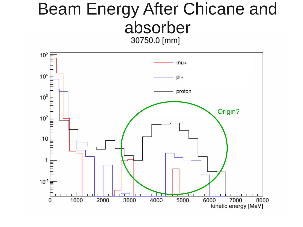# Beam Energy After Chicane and absorber<br>30750.0 [mm]

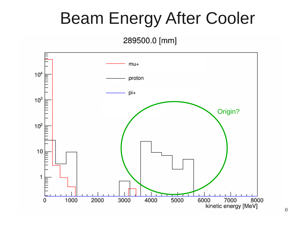## Beam Energy After Cooler

#### 289500.0 [mm]